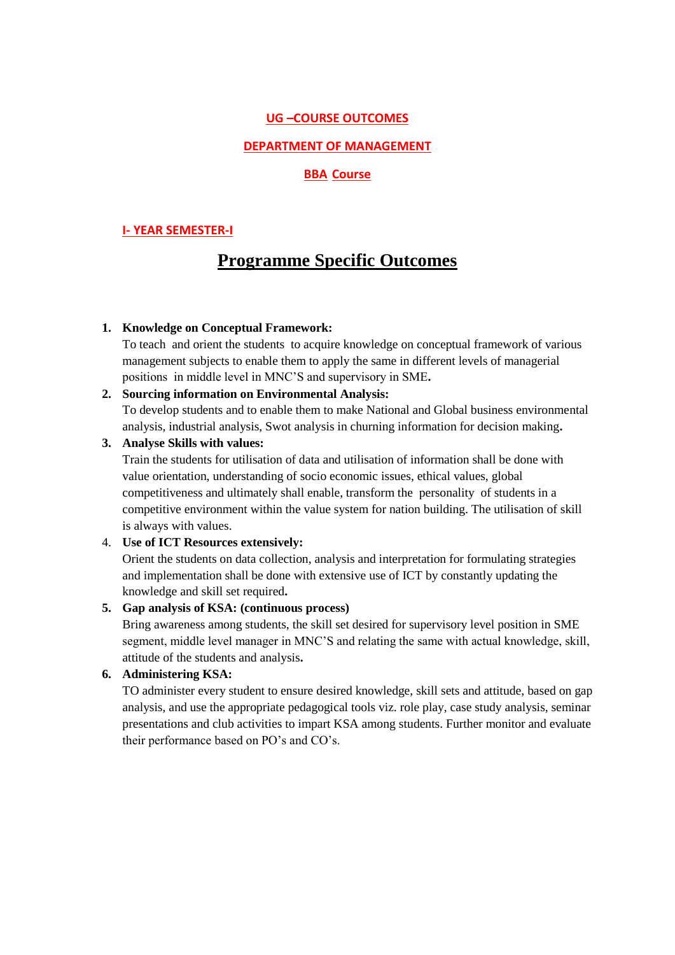### **UG –COURSE OUTCOMES**

### **DEPARTMENT OF MANAGEMENT**

### **BBA Course**

### **I- YEAR SEMESTER-I**

# **Programme Specific Outcomes**

#### **1. Knowledge on Conceptual Framework:**

To teach and orient the students to acquire knowledge on conceptual framework of various management subjects to enable them to apply the same in different levels of managerial positions in middle level in MNC'S and supervisory in SME**.**

#### **2. Sourcing information on Environmental Analysis:**

To develop students and to enable them to make National and Global business environmental analysis, industrial analysis, Swot analysis in churning information for decision making**.**

# **3. Analyse Skills with values:**

Train the students for utilisation of data and utilisation of information shall be done with value orientation, understanding of socio economic issues, ethical values, global competitiveness and ultimately shall enable, transform the personality of students in a competitive environment within the value system for nation building. The utilisation of skill is always with values.

### 4. **Use of ICT Resources extensively:**

Orient the students on data collection, analysis and interpretation for formulating strategies and implementation shall be done with extensive use of ICT by constantly updating the knowledge and skill set required**.**

#### **5. Gap analysis of KSA: (continuous process)**

Bring awareness among students, the skill set desired for supervisory level position in SME segment, middle level manager in MNC'S and relating the same with actual knowledge, skill, attitude of the students and analysis**.**

#### **6. Administering KSA:**

TO administer every student to ensure desired knowledge, skill sets and attitude, based on gap analysis, and use the appropriate pedagogical tools viz. role play, case study analysis, seminar presentations and club activities to impart KSA among students. Further monitor and evaluate their performance based on PO's and CO's.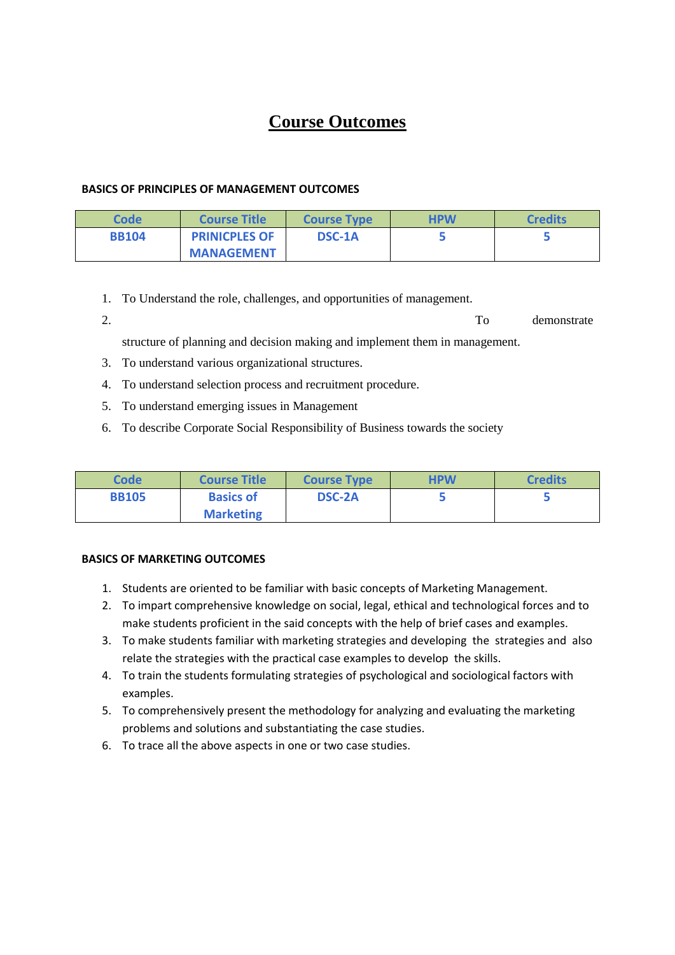# **Course Outcomes**

### **BASICS OF PRINCIPLES OF MANAGEMENT OUTCOMES**

| Code         | <b>Course Title</b>  | <b>Course Type</b> | <b>HPW</b> | <b>Credits</b> |
|--------------|----------------------|--------------------|------------|----------------|
| <b>BB104</b> | <b>PRINICPLES OF</b> | <b>DSC-1A</b>      |            |                |
|              | <b>MANAGEMENT</b>    |                    |            |                |

- 1. To Understand the role, challenges, and opportunities of management.
- 2. To demonstrate

structure of planning and decision making and implement them in management.

- 3. To understand various organizational structures.
- 4. To understand selection process and recruitment procedure.
- 5. To understand emerging issues in Management
- 6. To describe Corporate Social Responsibility of Business towards the society

| <b>Code</b>  | <b>Course Title</b> | <b>Course Type</b> | <b>HPW</b> | <b>Credits</b> |
|--------------|---------------------|--------------------|------------|----------------|
| <b>BB105</b> | <b>Basics of</b>    | <b>DSC-2A</b>      |            |                |
|              | <b>Marketing</b>    |                    |            |                |

# **BASICS OF MARKETING OUTCOMES**

- 1. Students are oriented to be familiar with basic concepts of Marketing Management.
- 2. To impart comprehensive knowledge on social, legal, ethical and technological forces and to make students proficient in the said concepts with the help of brief cases and examples.
- 3. To make students familiar with marketing strategies and developing the strategies and also relate the strategies with the practical case examples to develop the skills.
- 4. To train the students formulating strategies of psychological and sociological factors with examples.
- 5. To comprehensively present the methodology for analyzing and evaluating the marketing problems and solutions and substantiating the case studies.
- 6. To trace all the above aspects in one or two case studies.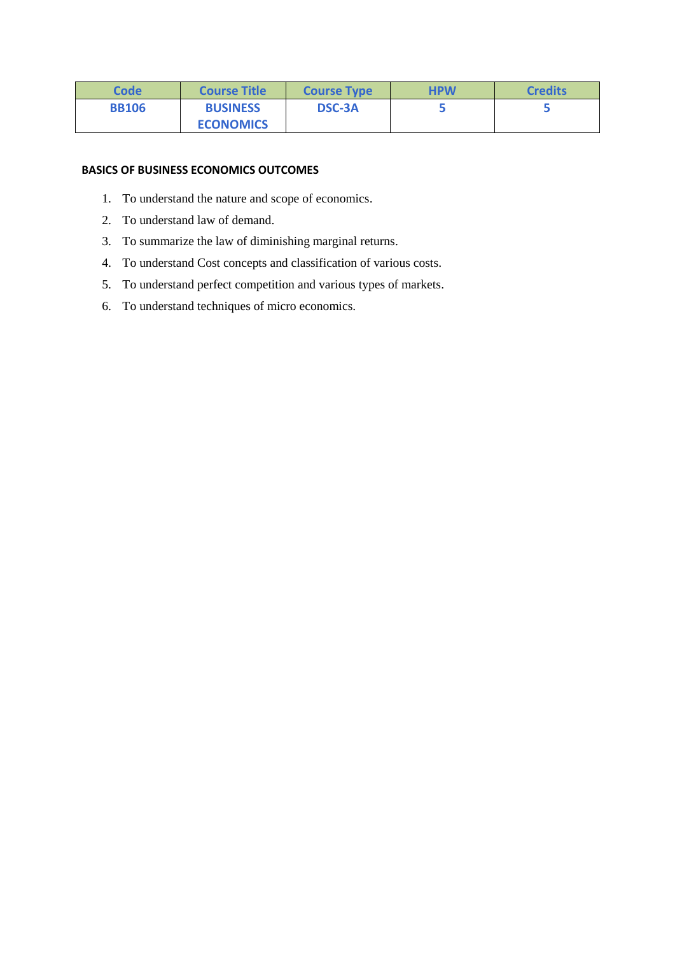| Code         | <b>Course Title</b> | <b>Course Type</b> | <b>HPW</b> | <b>Credits</b> |
|--------------|---------------------|--------------------|------------|----------------|
| <b>BB106</b> | <b>BUSINESS</b>     | <b>DSC-3A</b>      |            |                |
|              | <b>ECONOMICS</b>    |                    |            |                |

### **BASICS OF BUSINESS ECONOMICS OUTCOMES**

- 1. To understand the nature and scope of economics.
- 2. To understand law of demand.
- 3. To summarize the law of diminishing marginal returns.
- 4. To understand Cost concepts and classification of various costs.
- 5. To understand perfect competition and various types of markets.
- 6. To understand techniques of micro economics.